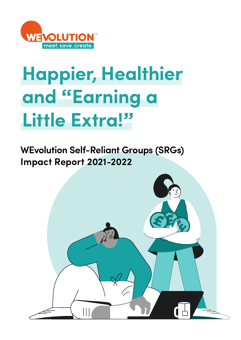

## **Happier, Healthier and "Earning a Little Extra!"**

**WEvolution Self-Reliant Groups (SRGs) Impact Report 2021-2022**

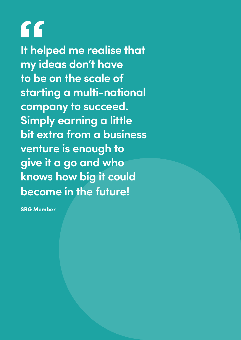**It helped me realise that my ideas don't have to be on the scale of starting a multi-national company to succeed. Simply earning a little bit extra from a business venture is enough to give it a go and who knows how big it could become in the future!**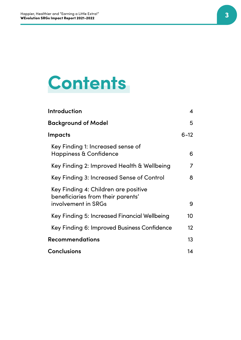## **Contents**

| Introduction                                                                                     | 4                 |
|--------------------------------------------------------------------------------------------------|-------------------|
| <b>Background of Model</b>                                                                       | 5                 |
| <b>Impacts</b>                                                                                   | $6 - 12$          |
| Key Finding 1: Increased sense of<br><b>Happiness &amp; Confidence</b>                           | 6                 |
| Key Finding 2: Improved Health & Wellbeing                                                       | 7                 |
| Key Finding 3: Increased Sense of Control                                                        | 8                 |
| Key Finding 4: Children are positive<br>beneficiaries from their parents'<br>involvement in SRGs | 9                 |
| Key Finding 5: Increased Financial Wellbeing                                                     | 10                |
| Key Finding 6: Improved Business Confidence                                                      | $12 \overline{ }$ |
| <b>Recommendations</b>                                                                           | 13                |
| <b>Conclusions</b>                                                                               | 14                |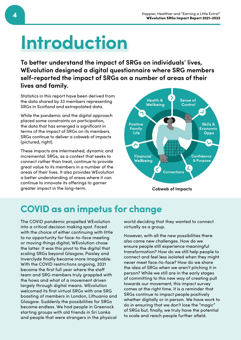## **Introduction**

**To better understand the impact of SRGs on individuals' lives, WEvolution designed a digital questionnaire where SRG members self-reported the impact of SRGs on a number of areas of their lives and family.**

Statistics in this report have been derived from the data shared by 33 members representing SRGs in Scotland and extrapolated data.

While the pandemic and the digital approach placed some constraints on participation, the data that has emerged is significant in terms of the impact of SRGs on its members. SRGs continue to deliver a cobweb of impacts (pictured, right).

These impacts are intermeshed, dynamic and incremental. SRGs, as a context that seeks to connect rather than treat, continue to provide great value to its members in a number of the areas of their lives. It also provides WEvolution a better understanding of areas where it can continue to innovate its offerings to garner greater impact in the long-term. **Cobweb of Impacts**



### **COVID as an impetus for change**

The COVID pandemic propelled WEvolution into a critical decision making spot. Faced with the choice of either continuing with little to no opportunity for face-to-face meeting or moving things digital, WEvolution chose the latter. It was this pivot to the digital that scaling SRGs beyond Glasgow, Paisley and Inverclyde finally became more imaginable. With the COVID restrictions ongoing, 2021 became the first full year where the staff team and SRG members truly grappled with the hows and what of a movement driven largely through digital means. WEvolution welcomed its first virtual SRGs with one SRG boasting of members in London, Lithuania and Glasgow. Suddenly the possibilities for SRGs became endless. We had people in Greenock starting groups with old friends in Sri Lanka and people that were strangers in the physical

world deciding that they wanted to connect virtually as a group.

However, with all the new possibilities there also came new challenges. How do we ensure people still experience meaningful transformation? How do we still help people to connect and feel less isolated when they might never meet face-to-face? How do we share the idea of SRGs when we aren't pitching it in person? While we still are in the early stages of committing to this new way of creating pull towards our movement, this impact survey comes at the right time. It is a reminder that SRGs continue to impact people positively whether digitally or in person. We have work to do in ensuring that we don't lose the "magic" of SRGs but, finally, we truly have the potential to scale and reach people further afield.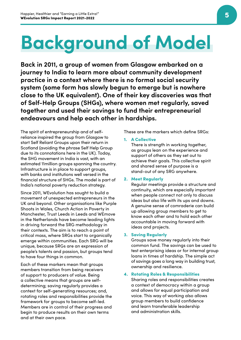## **Background of Model**

**Back in 2011, a group of women from Glasgow embarked on a journey to India to learn more about community development practice in a context where there is no formal social security system (some form has slowly begun to emerge but is nowhere close to the UK equivalent). One of their key discoveries was that of Self-Help Groups (SHGs), where women met regularly, saved together and used their savings to fund their entrepreneurial endeavours and help each other in hardships.** 

The spirit of entrepreneurship and of selfreliance inspired the group from Glasgow to start Self Reliant Groups upon their return in Scotland (avoiding the phrase Self Help Group due to its connotations here in the UK). Today, the SHG movement in India is vast, with an estimated 11million groups spanning the country. Infrastructure is in place to support groups, with banks and institutions well versed in the financial structure of SHGs. The model is part of India's national poverty reduction strategy.

Since 2011, WEvolution has sought to build a movement of unexpected entrepreneurs in the UK and beyond. Other organisations like Purple Shoots in Wales, Church Action in Poverty in Manchester, Trust Leeds in Leeds and WEmove in the Netherlands have become leading lights in driving forward the SRG methodology in their contexts. The aim is to reach a point of critical mass, where SRGs start to organically emerge within communities. Each SRG will be unique, because SRGs are an expression of people's talents and passion, but groups tend to have four things in common.

Each of these markers mean that groups members transition from being receivers of support to producers of value. Being a collective means that groups are selfdetermining; saving regularly provides a context for self-generating resources; and, rotating roles and responsibilities provide the framework for groups to become self-led. Members are in control of their progress and begin to produce results on their own terms and at their own pace.

These are the markers which define SRGs:

### 1. A Collective

There is strength in working together, as groups lean on the experience and support of others as they set out to achieve their goals. This collective spirit and shared sense of purpose is a stand-out of any SRG anywhere.

### 2. Meet Regularly

Regular meetings provide a structure and continuity, which are especially important when people connect not only to discuss ideas but also life with its ups and downs. A genuine sense of comraderie can build up allowing group members to get to know each other and to hold each other accountable in moving forward with ideas and projects.

### 3. Saving Regularly

Groups save money regularly into their common fund. The savings can be used to test enterprising ideas or for internal group loans in times of hardship. The simple act of savings goes a long way in building trust, ownership and resilience.

### 4. Rotating Roles & Responsibilities

Sharing roles and responsibilities creates a context of democracy within a group and allows for equal participation and voice. This way of working also allows group members to build confidence and learn transferable leadership and administration skills.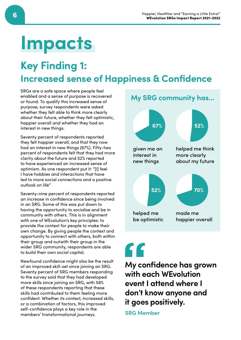## **Impacts**

### **Key Finding 1: Increased sense of Happiness & Confidence**

SRGs are a safe space where people feel enabled and a sense of purpose is recovered or found. To qualify this increased sense of purpose, survey respondents were asked whether they felt able to think more clearly about their future, whether they felt optimistic, happier overall and whether they had an interest in new things.

Seventy percent of respondents reported they felt happier overall, and that they now had an interest in new things (67%). Fifty-two percent of respondents felt that they had more clarity about the future and 52% reported to have experienced an increased sense of optimism. As one respondent put it: "[I] feel I have hobbies and interactions that have led to more social connections and a positive outlook on life"

Seventy-nine percent of respondents reported an increase in confidence since being involved in an SRG. Some of this was put down to having the opportunity to socialise and be in community with others. This is in alignment with one of WEvolution's key principles: to provide the context for people to make their own change. By giving people the context and opportunity to connect with others, both within their group and outwith their group in the wider SRG community, respondents are able to build their own social capital.

Newfound confidence might also be the result of an improved skill-set since joining an SRG. Seventy percent of SRG members responding to the survey said that they had developed more skills since joining an SRG, with 58% of these respondents reporting that these skills had contributed to them feeling more confident. Whether its context, increased skills, or a combination of factors, this improved self-confidence plays a key role in the members' transformational journeys.



## "

**My confidence has grown with each WEvolution event I attend where I don't know anyone and it goes positively.**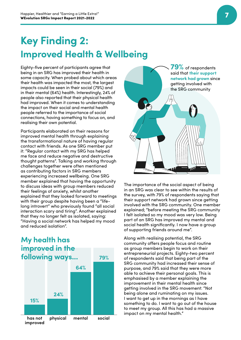### **Key Finding 2: Improved Health & Wellbeing**

Eighty-five percent of participants agree that being in an SRG has improved their health in some capacity. When probed about which areas their health was impacted the most, the largest impacts could be seen in their social (79%) and in their mental (64%) health. Interestingly, 24% of people also reported that their physical health had improved. When it comes to understanding the impact on their social and mental health people referred to the importance of social connections, having something to focus on, and realising their own potential.

Participants elaborated on their reasons for improved mental health through explaining the transformational nature of having regular contact with friends. As one SRG member put it: "Regular contact with my SRG has helped me face and reduce negative and destructive thought patterns". Talking and working through challenges together were often mentioned as contributing factors in SRG members experiencing increased wellbeing. One SRG member explained that having the opportunity to discuss ideas with group members reduced their feelings of anxiety, whilst another explained that they looked forward to meetings with their group despite having been a "lifelong introvert" who previously found "all social interaction scary and tiring". Another explained that they no longer felt as isolated, saying: "Having a social network has helped my mood and reduced isolation".

### **My health has improved in the following ways...**





The importance of the social aspect of being in an SRG was clear to see within the results of the survey, with 79% of respondents saying that their support network had grown since getting involved with the SRG community. One member explained; "before meeting the SRG community I felt isolated so my mood was very low. Being part of an SRG has improved my mental and social health significantly. I now have a group of supporting friends around me".

Along with realising potential, the SRG community offers people focus and routine as group members begin to work on their entrepreneurial projects. Eighty-two percent of respondents said that being part of the SRG community had increased their sense of purpose, and 79% said that they were more able to achieve their personal goals. This is emphasised by a member explaining the improvement in their mental health since getting involved in the SRG movement: "Not being alone and ruminating on my issues. I want to get up in the mornings as I have something to do. I want to go out of the house to meet my group. All this has had a massive impact on my mental health."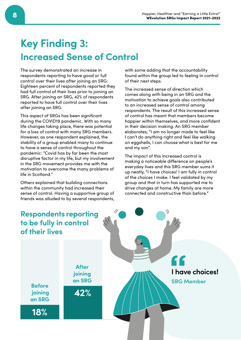### **Key Finding 3: Increased Sense of Control**

The survey demonstrated an increase in respondents reporting to have good or full control over their lives after joining an SRG: Eighteen percent of respondents reported they had full control of their lives prior to joining an SRG. After joining an SRG, 42% of respondents reported to have full control over their lives after joining an SRG.

This aspect of SRGs has been significant during the COVID19 pandemic. With so many life changes taking place, there was potential for a loss of control with many SRG members. However, as one respondent explained, the stability of a group enabled many to continue to have a sense of control throughout the pandemic: "Covid has by far been the most disruptive factor in my life, but my involvement in the SRG movement provides me with the motivation to overcome the many problems of life in Scotland."

Others explained that building connections within the community had increased their sense of control. Having a supportive group of friends was alluded to by several respondents,

with some adding that the accountability found within the group led to feeling in control of their next steps.

The increased sense of direction which comes along with being in an SRG and the motivation to achieve goals also contributed to an increased sense of control among respondents. The result of this increased sense of control has meant that members become happier within themselves, and more confident in their decision making. An SRG member elaborates; "I am no longer made to feel like I can't do anything right and feel like walking on eggshells, I can choose what is best for me and my son".

The impact of this increased control is making a noticeable difference on people's everyday lives and this SRG member sums it up neatly, "I have choices! I am fully in control of the choices I make. I feel validated by my group and that in turn has supported me to drive changes at home. My family are more connected and constructive than before."

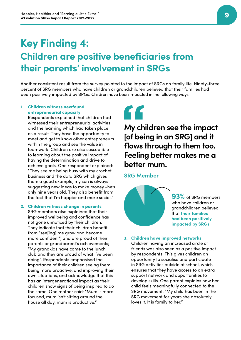### **Key Finding 4: Children are positive beneficiaries from their parents' involvement in SRGs**

Another consistent result from the survey pointed to the impact of SRGs on family life. Ninety-three percent of SRG members who have children or grandchildren believed that their families had been positively impacted by SRGs. Children have been impacted in the following ways:

### 1. Children witness newfound entrepreneurial capacity

Respondents explained that children had witnessed their entrepreneurial activities and the learning which had taken place as a result. They have the opportunity to meet and get to know other entrepreneurs within the group and see the value in teamwork. Children are also susceptible to learning about the positive impact of having the determination and drive to achieve goals. One respondent explained: "They see me being busy with my crochet business and the data SRG which gives them a good example, my son is always suggesting new ideas to make money -he's only nine years old. They also benefit from the fact that I'm happier and more social."

#### 2. Children witness change in parents

SRG members also explained that their improved wellbeing and confidence has not gone unnoticed by their children. They indicate that their children benefit from "see[ing] me grow and become more confident", and are proud of their parents or grandparent's achievements; "My grandkids have come to the lunch club and they are proud of what I've been doing". Respondents emphasised the importance of their children seeing them being more proactive, and improving their own situations, and acknowledge that this has an intergenerational impact as their children show signs of being inspired to do the same. One mother said: "Mum is more focused, mum isn't sitting around the house all day, mum is productive."

"

**My children see the impact [of being in an SRG] and it flows through to them too. Feeling better makes me a better mum.**

### **SRG Member**



**93%** of SRG members who have children or grandchildren believed that **their families had been positively impacted by SRGs**

#### 3. Children have improved networks

Children having an increased circle of friends was also seen as a positive impact by respondents. This gives children an opportunity to socialise and participate in SRG activities outside of school, which ensures that they have access to an extra support network and opportunities to develop skills. One parent explains how her child feels meaningfully connected to the SRG movement: "My child has been in the SRG movement for years she absolutely loves it. It is family to her."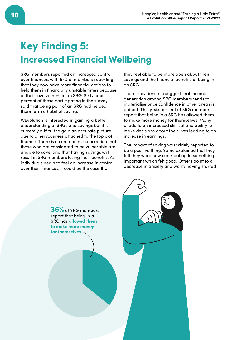### **Key Finding 5: Increased Financial Wellbeing**

SRG members reported an increased control over finances, with 64% of members reporting that they now have more financial options to help them in financially unstable times because of their involvement in an SRG. Sixty-one percent of those participating in the survey said that being part of an SRG had helped them form a habit of saving.

WEvolution is interested in gaining a better understanding of SRGs and savings but it is currently difficult to gain an accurate picture due to a nervousness attached to the topic of finance. There is a common misconception that those who are considered to be vulnerable are unable to save, and that having savings will result in SRG members losing their benefits. As individuals begin to feel an increase in control over their finances, it could be the case that

they feel able to be more open about their savings and the financial benefits of being in an SRG.

There is evidence to suggest that income generation among SRG members tends to materialise once confidence in other areas is gained. Thirty-six percent of SRG members report that being in a SRG has allowed them to make more money for themselves. Many allude to an increased skill set and ability to make decisions about their lives leading to an increase in earnings.

The impact of saving was widely reported to be a positive thing. Some explained that they felt they were now contributing to something important which felt good. Others point to a decrease in anxiety and worry having started

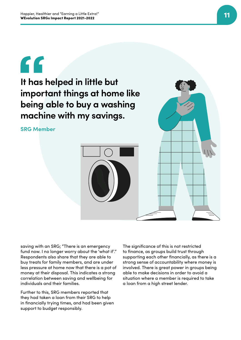

**It has helped in little but important things at home like being able to buy a washing machine with my savings.**

**SRG Member**



saving with an SRG; "There is an emergency fund now. I no longer worry about the 'what if'." Respondents also share that they are able to buy treats for family members, and are under less pressure at home now that there is a pot of money at their disposal. This indicates a strong correlation between saving and wellbeing for individuals and their families.

Further to this, SRG members reported that they had taken a loan from their SRG to help in financially trying times, and had been given support to budget responsibly.

The significance of this is not restricted to finance, as groups build trust through supporting each other financially, as there is a strong sense of accountability where money is involved. There is great power in groups being able to make decisions in order to avoid a situation where a member is required to take a loan from a high street lender.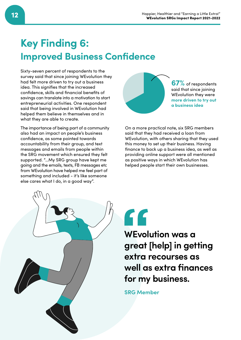### **Key Finding 6: Improved Business Confidence**

Sixty-seven percent of respondents to the survey said that since joining WEvolution they had felt more driven to try out a business idea. This signifies that the increased confidence, skills and financial benefits of savings can translate into a motivation to start entrepreneurial activities. One respondent said that being involved in WEvolution had helped them believe in themselves and in what they are able to create.

The importance of being part of a community also had an impact on people's business confidence, as some pointed towards accountability from their group, and text messages and emails from people within the SRG movement which ensured they felt supported. "…My SRG group have kept me going and the emails, texts, FB messages etc from WEvolution have helped me feel part of something and included - it's like someone else cares what I do, in a good way".



**67%** of respondents said that since joining WEvolution they were **more driven to try out a business idea**

On a more practical note, six SRG members said that they had received a loan from WEvolution, with others sharing that they used this money to set up their business. Having finance to back up a business idea, as well as providing online support were all mentioned as positive ways in which WEvolution has helped people start their own businesses.



 $\epsilon$ 

**WEvolution was a great [help] in getting extra recourses as well as extra finances for my business.**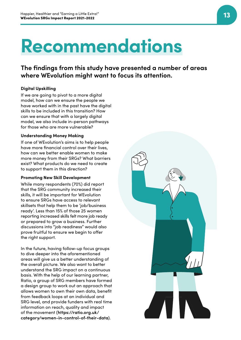## **Recommendations**

**The findings from this study have presented a number of areas where WEvolution might want to focus its attention.** 

### **Digital Upskilling**

If we are going to pivot to a more digital model, how can we ensure the people we have worked with in the past have the digital skills to be included in this transition? How can we ensure that with a largely digital model, we also include in-person pathways for those who are more vulnerable?

### **Understanding Money Making**

If one of WEvolution's aims is to help people have more financial control over their lives, how can we better enable women to make more money from their SRGs? What barriers exist? What products do we need to create to support them in this direction?

### **Promoting New Skill Development**

While many respondents (70%) did report that the SRG community increased their skills, it will be important for WEvolution to ensure SRGs have access to relevant skillsets that help them to be 'job/business ready'. Less than 15% of those 25 women reporting increased skills felt more job ready or prepared to grow a business. Further discussions into "job readiness" would also prove fruitful to ensure we begin to offer the right support.

In the future, having follow-up focus groups to dive deeper into the aforementioned areas will give us a better understanding of the overall picture. We also want to better understand the SRG impact on a continuous basis. With the help of our learning partner, Ratio, a group of SRG members have formed a design group to work out an approach that allows women to own their own data, benefit from feedback loops at an individual and SRG level, and provide funders with real time information on reach, quality and impact of the movement (**https://ratio.org.uk/ category/women-in-control-of-their-data**).

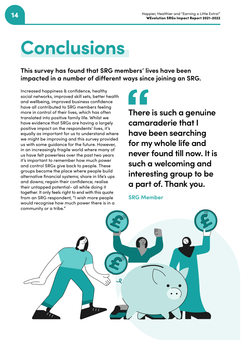## **Conclusions**

**This survey has found that SRG members' lives have been impacted in a number of different ways since joining an SRG.**

Increased happiness & confidence, healthy social networks, improved skill sets, better health and wellbeing, improved business confidence have all contributed to SRG members feeling more in control of their lives, which has often translated into positive family life. Whilst we have evidence that SRGs are having a largely positive impact on the respondents' lives, it's equally as important for us to understand where we might be improving and this survey provided us with some guidance for the future. However, in an increasingly fragile world where many of us have felt powerless over the past two years it's important to remember how much power and control SRGs give back to people. These groups become the place where people build alternative financial systems; share in life's ups and downs; regain their confidence; realise their untapped potential- all while doing it together. It only feels right to end with this quote from an SRG respondent, "I wish more people would recognise how much power there is in a community or a tribe."

**There is such a genuine camaraderie that I have been searching for my whole life and never found till now. It is such a welcoming and interesting group to be a part of. Thank you.**

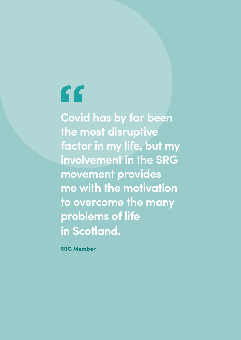# "

**Covid has by far been the most disruptive factor in my life, but my involvement in the SRG movement provides me with the motivation to overcome the many problems of life in Scotland.**